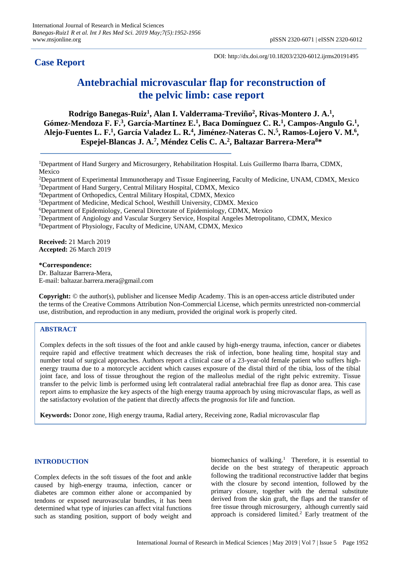**Case Report**

DOI: http://dx.doi.org/10.18203/2320-6012.ijrms20191495

# **Antebrachial microvascular flap for reconstruction of the pelvic limb: case report**

**Rodrigo Banegas-Ruiz<sup>1</sup> , Alan I. Valderrama-Treviño<sup>2</sup> , Rivas-Montero J. A. 1 ,**  Gómez-Mendoza F. F.<sup>3</sup>, García-Martínez E.<sup>1</sup>, Baca Domínguez C. R.<sup>1</sup>, Campos-Angulo G.<sup>1</sup>, **Alejo-Fuentes L. F. 1 , García Valadez L. R. 4 , Jiménez-Nateras C. N. 5 , Ramos-Lojero V. M. 6 , Espejel-Blancas J. A. 7 , Méndez Celis C. A. 2 , Baltazar Barrera-Mera<sup>8</sup>\***

<sup>1</sup>Department of Hand Surgery and Microsurgery, Rehabilitation Hospital. Luis Guillermo Ibarra Ibarra, CDMX, Mexico

<sup>2</sup>Department of Experimental Immunotherapy and Tissue Engineering, Faculty of Medicine, UNAM, CDMX, Mexico <sup>3</sup>Department of Hand Surgery, Central Military Hospital, CDMX, Mexico

<sup>4</sup>Department of Orthopedics, Central Military Hospital, CDMX, Mexico

<sup>5</sup>Department of Medicine, Medical School, Westhill University, CDMX. Mexico

<sup>6</sup>Department of Epidemiology, General Directorate of Epidemiology, CDMX, Mexico

<sup>7</sup>Department of Angiology and Vascular Surgery Service, Hospital Angeles Metropolitano, CDMX, Mexico

<sup>8</sup>Department of Physiology, Faculty of Medicine, UNAM, CDMX, Mexico

**Received:** 21 March 2019 **Accepted:** 26 March 2019

**\*Correspondence:** Dr. Baltazar Barrera-Mera, E-mail: baltazar.barrera.mera@gmail.com

**Copyright:** © the author(s), publisher and licensee Medip Academy. This is an open-access article distributed under the terms of the Creative Commons Attribution Non-Commercial License, which permits unrestricted non-commercial use, distribution, and reproduction in any medium, provided the original work is properly cited.

# **ABSTRACT**

Complex defects in the soft tissues of the foot and ankle caused by high-energy trauma, infection, cancer or diabetes require rapid and effective treatment which decreases the risk of infection, bone healing time, hospital stay and number total of surgical approaches. Authors report a clinical case of a 23-year-old female patient who suffers highenergy trauma due to a motorcycle accident which causes exposure of the distal third of the tibia, loss of the tibial joint face, and loss of tissue throughout the region of the malleolus medial of the right pelvic extremity. Tissue transfer to the pelvic limb is performed using left contralateral radial antebrachial free flap as donor area. This case report aims to emphasize the key aspects of the high energy trauma approach by using microvascular flaps, as well as the satisfactory evolution of the patient that directly affects the prognosis for life and function.

**Keywords:** Donor zone, High energy trauma, Radial artery, Receiving zone, Radial microvascular flap

# **INTRODUCTION**

Complex defects in the soft tissues of the foot and ankle caused by high-energy trauma, infection, cancer or diabetes are common either alone or accompanied by tendons or exposed neurovascular bundles, it has been determined what type of injuries can affect vital functions such as standing position, support of body weight and

biomechanics of walking.<sup>1</sup> Therefore, it is essential to decide on the best strategy of therapeutic approach following the traditional reconstructive ladder that begins with the closure by second intention, followed by the primary closure, together with the dermal substitute derived from the skin graft, the flaps and the transfer of free tissue through microsurgery, although currently said approach is considered limited.<sup>2</sup> Early treatment of the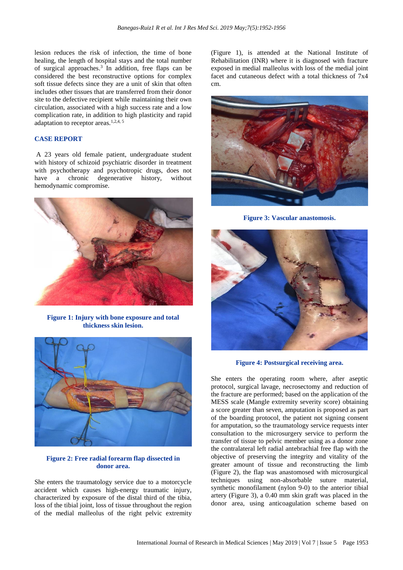lesion reduces the risk of infection, the time of bone healing, the length of hospital stays and the total number of surgical approaches. 3 In addition, free flaps can be considered the best reconstructive options for complex soft tissue defects since they are a unit of skin that often includes other tissues that are transferred from their donor site to the defective recipient while maintaining their own circulation, associated with a high success rate and a low complication rate, in addition to high plasticity and rapid adaptation to receptor areas.<sup>1,2,4, 5</sup>

# **CASE REPORT**

A 23 years old female patient, undergraduate student with history of schizoid psychiatric disorder in treatment with psychotherapy and psychotropic drugs, does not have a chronic degenerative history, without hemodynamic compromise.



**Figure 1: Injury with bone exposure and total thickness skin lesion.**



## **Figure 2: Free radial forearm flap dissected in donor area.**

She enters the traumatology service due to a motorcycle accident which causes high-energy traumatic injury, characterized by exposure of the distal third of the tibia, loss of the tibial joint, loss of tissue throughout the region of the medial malleolus of the right pelvic extremity (Figure 1), is attended at the National Institute of Rehabilitation (INR) where it is diagnosed with fracture exposed in medial malleolus with loss of the medial joint facet and cutaneous defect with a total thickness of 7x4 cm.



**Figure 3: Vascular anastomosis.**



**Figure 4: Postsurgical receiving area.**

She enters the operating room where, after aseptic protocol, surgical lavage, necrosectomy and reduction of the fracture are performed; based on the application of the MESS scale (Mangle extremity severity score) obtaining a score greater than seven, amputation is proposed as part of the boarding protocol, the patient not signing consent for amputation, so the traumatology service requests inter consultation to the microsurgery service to perform the transfer of tissue to pelvic member using as a donor zone the contralateral left radial antebrachial free flap with the objective of preserving the integrity and vitality of the greater amount of tissue and reconstructing the limb (Figure 2), the flap was anastomosed with microsurgical techniques using non-absorbable suture material, synthetic monofilament (nylon 9-0) to the anterior tibial artery (Figure 3), a 0.40 mm skin graft was placed in the donor area, using anticoagulation scheme based on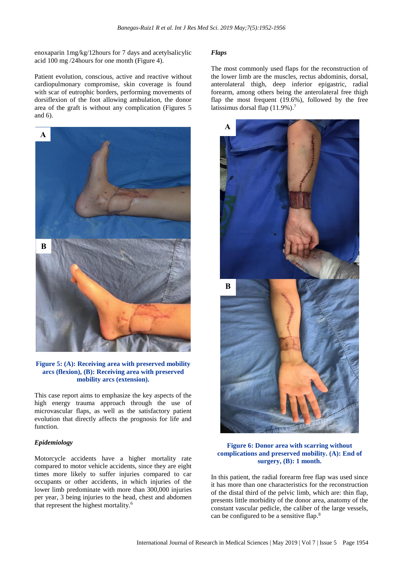enoxaparin 1mg/kg/12hours for 7 days and acetylsalicylic acid 100 mg /24hours for one month (Figure 4).

Patient evolution, conscious, active and reactive without cardiopulmonary compromise, skin coverage is found with scar of eutrophic borders, performing movements of dorsiflexion of the foot allowing ambulation, the donor area of the graft is without any complication (Figures 5 and 6).



**Figure 5: (A): Receiving area with preserved mobility arcs (flexion), (B): Receiving area with preserved mobility arcs (extension).**

This case report aims to emphasize the key aspects of the high energy trauma approach through the use of microvascular flaps, as well as the satisfactory patient evolution that directly affects the prognosis for life and function.

# *Epidemiology*

Motorcycle accidents have a higher mortality rate compared to motor vehicle accidents, since they are eight times more likely to suffer injuries compared to car occupants or other accidents, in which injuries of the lower limb predominate with more than 300,000 injuries per year, 3 being injuries to the head, chest and abdomen that represent the highest mortality.<sup>6</sup>

#### *Flaps*

The most commonly used flaps for the reconstruction of the lower limb are the muscles, rectus abdominis, dorsal, anterolateral thigh, deep inferior epigastric, radial forearm, among others being the anterolateral free thigh flap the most frequent (19.6%), followed by the free latissimus dorsal flap (11.9%).<sup>7</sup>



**Figure 6: Donor area with scarring without complications and preserved mobility. (A): End of surgery, (B): 1 month.**

In this patient, the radial forearm free flap was used since it has more than one characteristics for the reconstruction of the distal third of the pelvic limb, which are: thin flap, presents little morbidity of the donor area, anatomy of the constant vascular pedicle, the caliber of the large vessels, can be configured to be a sensitive flap. 8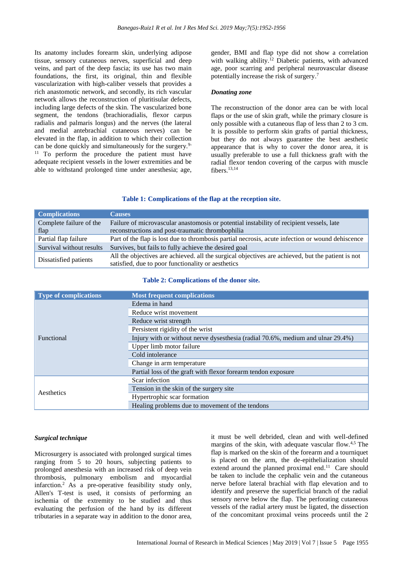Its anatomy includes forearm skin, underlying adipose tissue, sensory cutaneous nerves, superficial and deep veins, and part of the deep fascia; its use has two main foundations, the first, its original, thin and flexible vascularization with high-caliber vessels that provides a rich anastomotic network, and secondly, its rich vascular network allows the reconstruction of pluritisular defects, including large defects of the skin. The vascularized bone segment, the tendons (brachioradialis, flexor carpus radialis and palmaris longus) and the nerves (the lateral and medial antebrachial cutaneous nerves) can be elevated in the flap, in addition to which their collection can be done quickly and simultaneously for the surgery.<sup>9-</sup> <sup>11</sup> To perform the procedure the patient must have adequate recipient vessels in the lower extremities and be able to withstand prolonged time under anesthesia; age, gender, BMI and flap type did not show a correlation with walking ability. <sup>12</sup> Diabetic patients, with advanced age, poor scarring and peripheral neurovascular disease potentially increase the risk of surgery. 7

#### *Donating zone*

The reconstruction of the donor area can be with local flaps or the use of skin graft, while the primary closure is only possible with a cutaneous flap of less than 2 to 3 cm. It is possible to perform skin grafts of partial thickness, but they do not always guarantee the best aesthetic appearance that is why to cover the donor area, it is usually preferable to use a full thickness graft with the radial flexor tendon covering of the carpus with muscle fibers.<sup>13,14</sup>

#### **Table 1: Complications of the flap at the reception site.**

| <b>Complications</b>     | <b>Causes</b>                                                                                                                                           |
|--------------------------|---------------------------------------------------------------------------------------------------------------------------------------------------------|
| Complete failure of the  | Failure of microvascular anastomosis or potential instability of recipient vessels, late                                                                |
| flap                     | reconstructions and post-traumatic thrombophilia                                                                                                        |
| Partial flap failure     | Part of the flap is lost due to thrombosis partial necrosis, acute infection or wound dehiscence                                                        |
| Survival without results | Survives, but fails to fully achieve the desired goal                                                                                                   |
| Dissatisfied patients    | All the objectives are achieved. all the surgical objectives are achieved, but the patient is not<br>satisfied, due to poor functionality or aesthetics |

#### **Table 2: Complications of the donor site.**

| <b>Type of complications</b> | <b>Most frequent complications</b>                                              |
|------------------------------|---------------------------------------------------------------------------------|
|                              | Edema in hand                                                                   |
|                              | Reduce wrist movement                                                           |
|                              | Reduce wrist strength                                                           |
|                              | Persistent rigidity of the wrist                                                |
| <b>Functional</b>            | Injury with or without nerve dysesthesia (radial 70.6%, medium and ulnar 29.4%) |
|                              | Upper limb motor failure                                                        |
|                              | Cold intolerance                                                                |
|                              | Change in arm temperature                                                       |
|                              | Partial loss of the graft with flexor forearm tendon exposure                   |
|                              | Scar infection                                                                  |
| Aesthetics                   | Tension in the skin of the surgery site.                                        |
|                              | Hypertrophic scar formation                                                     |
|                              | Healing problems due to movement of the tendons                                 |

#### *Surgical technique*

Microsurgery is associated with prolonged surgical times ranging from 5 to 20 hours, subjecting patients to prolonged anesthesia with an increased risk of deep vein thrombosis, pulmonary embolism and myocardial infarction.<sup>2</sup> As a pre-operative feasibility study only, Allen's T-test is used, it consists of performing an ischemia of the extremity to be studied and thus evaluating the perfusion of the hand by its different tributaries in a separate way in addition to the donor area, it must be well debrided, clean and with well-defined margins of the skin, with adequate vascular flow.<sup>4,5</sup> The flap is marked on the skin of the forearm and a tourniquet is placed on the arm, the de-epithelialization should extend around the planned proximal end.<sup>11</sup> Care should be taken to include the cephalic vein and the cutaneous nerve before lateral brachial with flap elevation and to identify and preserve the superficial branch of the radial sensory nerve below the flap. The perforating cutaneous vessels of the radial artery must be ligated, the dissection of the concomitant proximal veins proceeds until the 2